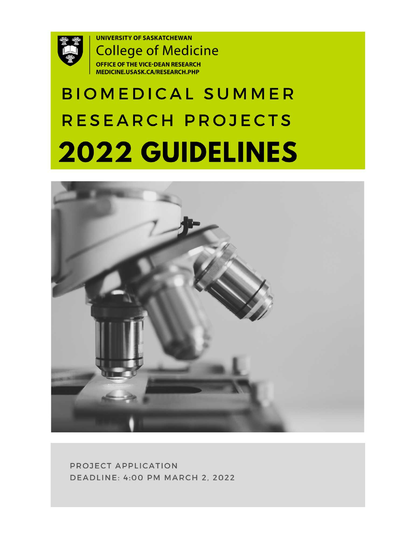

**UNIVERSITY OF SASKATCHEWAN College of Medicine OFFICE OF THE VICE-DEAN RESEARCH** MEDICINE.USASK.CA/RESEARCH.PHP

# **BIOMEDICAL SUMMER** RESEARCH PROJECTS 2022 GUIDELINES



PROJECT APPLICATION **DEADLINE: 4:00 PM MARCH 2, 2022**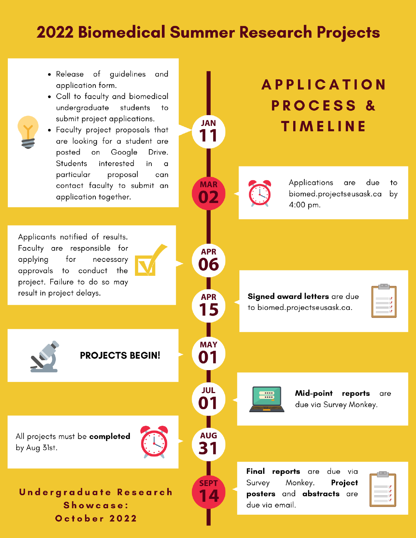## **2022 Biomedical Summer Research Projects**

**JAN** 

11

**MAR** 

N 2

**APR** 

06

**APR** 

15

**MAY** 01

**JUL** 

01

**AUG** 

31

**SEPT** 

14

- Release of guidelines and application form.
- Call to faculty and biomedical undergraduate students  $t_{\rm O}$ submit project applications.
- Faculty project proposals that are looking for a student are posted on Google Drive. Students interested in a particular proposal can contact faculty to submit an application together.

Applicants notified of results. Faculty are responsible for for applying necessary approvals to conduct the project. Failure to do so may result in project delays.

**PROJECTS BEGIN!** 

All projects must be completed by Aug 31st.



Undergraduate Research Showcase: October 2022



Signed award letters are due to biomed.projectseusask.ca.

| $=$ |  |
|-----|--|
|     |  |
|     |  |



Mid-point reports are due via Survey Monkey.

Final reports are due via Survey Monkey. Project posters and abstracts are due via email.

|  | 1      |  |
|--|--------|--|
|  | 1      |  |
|  | t<br>1 |  |
|  |        |  |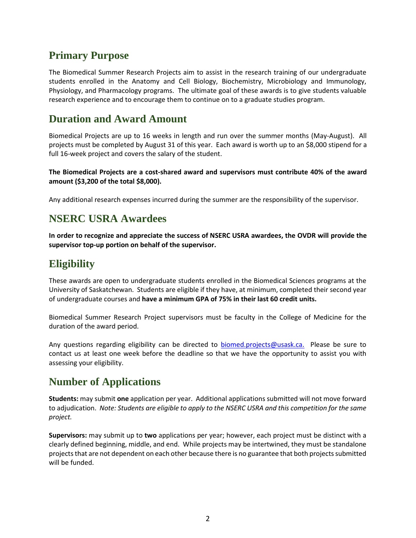## **Primary Purpose**

The Biomedical Summer Research Projects aim to assist in the research training of our undergraduate students enrolled in the Anatomy and Cell Biology, Biochemistry, Microbiology and Immunology, Physiology, and Pharmacology programs. The ultimate goal of these awards is to give students valuable research experience and to encourage them to continue on to a graduate studies program.

## **Duration and Award Amount**

Biomedical Projects are up to 16 weeks in length and run over the summer months (May-August). All projects must be completed by August 31 of this year. Each award is worth up to an \$8,000 stipend for a full 16-week project and covers the salary of the student.

**The Biomedical Projects are a cost-shared award and supervisors must contribute 40% of the award amount (\$3,200 of the total \$8,000).** 

Any additional research expenses incurred during the summer are the responsibility of the supervisor.

## **NSERC USRA Awardees**

**In order to recognize and appreciate the success of NSERC USRA awardees, the OVDR will provide the supervisor top-up portion on behalf of the supervisor.** 

## **Eligibility**

These awards are open to undergraduate students enrolled in the Biomedical Sciences programs at the University of Saskatchewan. Students are eligible if they have, at minimum, completed their second year of undergraduate courses and **have a minimum GPA of 75% in their last 60 credit units.** 

Biomedical Summer Research Project supervisors must be faculty in the College of Medicine for the duration of the award period.

Any questions regarding eligibility can be directed to [biomed.projects@usask.ca.](mailto:biomed.projects@usask.ca) Please be sure to contact us at least one week before the deadline so that we have the opportunity to assist you with assessing your eligibility.

## **Number of Applications**

**Students:** may submit **one** application per year. Additional applications submitted will not move forward to adjudication. *Note: Students are eligible to apply to the NSERC USRA and this competition for the same project.*

**Supervisors:** may submit up to **two** applications per year; however, each project must be distinct with a clearly defined beginning, middle, and end. While projects may be intertwined, they must be standalone projects that are not dependent on each other because there is no guarantee that both projects submitted will be funded.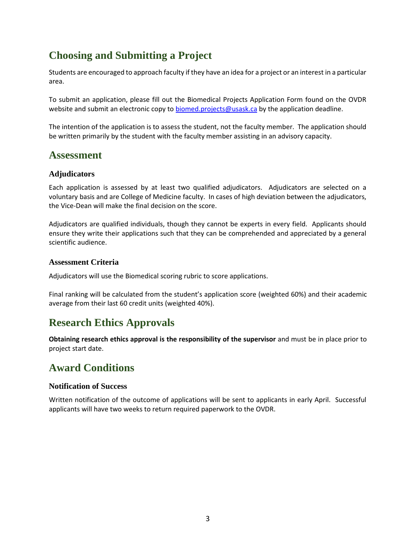## **Choosing and Submitting a Project**

Students are encouraged to approach faculty if they have an idea for a project or an interest in a particular area.

To submit an application, please fill out the Biomedical Projects Application Form found on the OVDR website and submit an electronic copy to [biomed.projects@usask.ca](mailto:biomed.projects@usask.ca) by the application deadline.

The intention of the application is to assess the student, not the faculty member. The application should be written primarily by the student with the faculty member assisting in an advisory capacity.

## **Assessment**

### **Adjudicators**

Each application is assessed by at least two qualified adjudicators. Adjudicators are selected on a voluntary basis and are College of Medicine faculty. In cases of high deviation between the adjudicators, the Vice-Dean will make the final decision on the score.

Adjudicators are qualified individuals, though they cannot be experts in every field. Applicants should ensure they write their applications such that they can be comprehended and appreciated by a general scientific audience.

#### **Assessment Criteria**

Adjudicators will use the Biomedical scoring rubric to score applications.

Final ranking will be calculated from the student's application score (weighted 60%) and their academic average from their last 60 credit units (weighted 40%).

## **Research Ethics Approvals**

**Obtaining research ethics approval is the responsibility of the supervisor** and must be in place prior to project start date.

## **Award Conditions**

#### **Notification of Success**

Written notification of the outcome of applications will be sent to applicants in early April. Successful applicants will have two weeks to return required paperwork to the OVDR.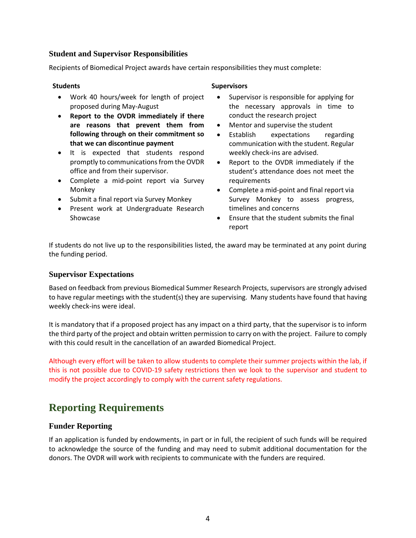#### **Student and Supervisor Responsibilities**

Recipients of Biomedical Project awards have certain responsibilities they must complete:

- Work 40 hours/week for length of project proposed during May-August
- **Report to the OVDR immediately if there are reasons that prevent them from following through on their commitment so that we can discontinue payment**
- It is expected that students respond promptly to communications from the OVDR office and from their supervisor.
- Complete a mid-point report via Survey Monkey
- Submit a final report via Survey Monkey
- Present work at Undergraduate Research Showcase

#### **Students Supervisors**

- Supervisor is responsible for applying for the necessary approvals in time to conduct the research project
- Mentor and supervise the student
- Establish expectations regarding communication with the student. Regular weekly check-ins are advised.
- Report to the OVDR immediately if the student's attendance does not meet the requirements
- Complete a mid-point and final report via Survey Monkey to assess progress, timelines and concerns
- Ensure that the student submits the final report

If students do not live up to the responsibilities listed, the award may be terminated at any point during the funding period.

#### **Supervisor Expectations**

Based on feedback from previous Biomedical Summer Research Projects, supervisors are strongly advised to have regular meetings with the student(s) they are supervising. Many students have found that having weekly check-ins were ideal.

It is mandatory that if a proposed project has any impact on a third party, that the supervisor is to inform the third party of the project and obtain written permission to carry on with the project. Failure to comply with this could result in the cancellation of an awarded Biomedical Project.

Although every effort will be taken to allow students to complete their summer projects within the lab, if this is not possible due to COVID-19 safety restrictions then we look to the supervisor and student to modify the project accordingly to comply with the current safety regulations.

## **Reporting Requirements**

#### **Funder Reporting**

If an application is funded by endowments, in part or in full, the recipient of such funds will be required to acknowledge the source of the funding and may need to submit additional documentation for the donors. The OVDR will work with recipients to communicate with the funders are required.